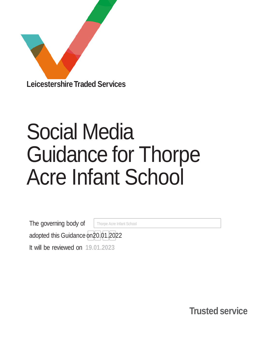

# Social Media Guidance for Thorpe Acre Infant School

The governing body of Thorpe Acre Infant School

adopted this Guidance on20.01.2022

It will be reviewed on **19.01.2023**

**Trusted service**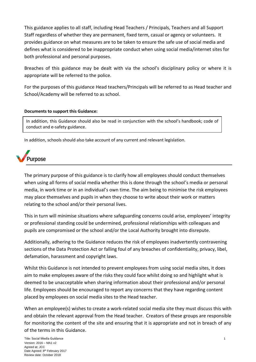This guidance applies to all staff, including Head Teachers / Principals, Teachers and all Support Staff regardless of whether they are permanent, fixed term, casual or agency or volunteers. It provides guidance on what measures are to be taken to ensure the safe use of social media and defines what is considered to be inappropriate conduct when using social media/internet sites for both professional and personal purposes.

Breaches of this guidance may be dealt with via the school's disciplinary policy or where it is appropriate will be referred to the police.

For the purposes of this guidance Head teachers/Principals will be referred to as Head teacher and School/Academy will be referred to as school.

#### **Documents to support this Guidance:**

In addition, this Guidance should also be read in conjunction with the school's handbook; code of conduct and e-safety guidance.

In addition, schools should also take account of any current and relevant legislation.



The primary purpose of this guidance is to clarify how all employees should conduct themselves when using all forms of social media whether this is done through the school's media or personal media, in work time or in an individual's own time. The aim being to minimise the risk employees may place themselves and pupils in when they choose to write about their work or matters relating to the school and/or their personal lives.

This in turn will minimise situations where safeguarding concerns could arise, employees' integrity or professional standing could be undermined, professional relationships with colleagues and pupils are compromised or the school and/or the Local Authority brought into disrepute.

Additionally, adhering to the Guidance reduces the risk of employees inadvertently contravening sections of the Data Protection Act or falling foul of any breaches of confidentiality, privacy, libel, defamation, harassment and copyright laws.

Whilst this Guidance is not intended to prevent employees from using social media sites, it does aim to make employees aware of the risks they could face whilst doing so and highlight what is deemed to be unacceptable when sharing information about their professional and/or personal life. Employees should be encouraged to report any concerns that they have regarding content placed by employees on social media sites to the Head teacher.

When an employee(s) wishes to create a work-related social media site they must discuss this with and obtain the relevant approval from the Head teacher. Creators of these groups are responsible for monitoring the content of the site and ensuring that it is appropriate and not in breach of any of the terms in this Guidance.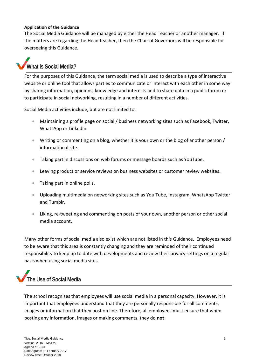#### **Application of the Guidance**

The Social Media Guidance will be managed by either the Head Teacher or another manager. If the matters are regarding the Head teacher, then the Chair of Governors will be responsible for overseeing this Guidance.

### **What is Social Media?**

For the purposes of this Guidance, the term social media is used to describe a type of interactive website or online tool that allows parties to communicate or interact with each other in some way by sharing information, opinions, knowledge and interests and to share data in a public forum or to participate in social networking, resulting in a number of different activities.

Social Media activities include, but are not limited to:

- Maintaining a profile page on social / business networking sites such as Facebook, Twitter, WhatsApp or LinkedIn
- Writing or commenting on a blog, whether it is your own or the blog of another person / informational site.
- Taking part in discussions on web forums or message boards such as YouTube.
- Leaving product or service reviews on business websites or customer review websites.
- Taking part in online polls.
- Uploading multimedia on networking sites such as You Tube, Instagram, WhatsApp Twitter and Tumblr.
- Liking, re-tweeting and commenting on posts of your own, another person or other social media account.

Many other forms of social media also exist which are not listed in this Guidance. Employees need to be aware that this area is constantly changing and they are reminded of their continued responsibility to keep up to date with developments and review their privacy settings on a regular basis when using social media sites.

## **The Use of Social Media**

The school recognises that employees will use social media in a personal capacity. However, it is important that employees understand that they are personally responsible for all comments, images or information that they post on line. Therefore, all employees must ensure that when posting any information, images or making comments, they do **not**: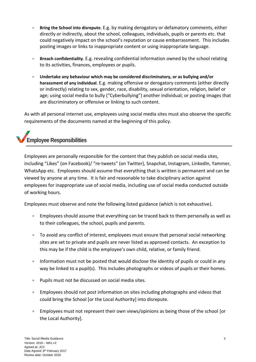- **Bring the School into disrepute**. E.g. by making derogatory or defamatory comments, either directly or indirectly, about the school, colleagues, individuals, pupils or parents etc. that could negatively impact on the school's reputation or cause embarrassment. This includes posting images or links to inappropriate content or using inappropriate language.
- **Breach confidentiality**. E.g. revealing confidential information owned by the school relating to its activities, finances, employees or pupils.
- **Undertake any behaviour which may be considered discriminatory, or as bullying and/or harassment of any individual**. E.g. making offensive or derogatory comments (either directly or indirectly) relating to sex, gender, race, disability, sexual orientation, religion, belief or age; using social media to bully ("Cyberbullying") another individual; or posting images that are discriminatory or offensive or linking to such content.

As with all personal internet use, employees using social media sites must also observe the specific requirements of the documents named at the beginning of this policy.

# **Employee Responsibilities**

Employees are personally responsible for the content that they publish on social media sites, including "Likes" (on Facebook)/ "re-tweets" (on Twitter), Snapchat, Instagram, LinkedIn, Yammer, WhatsApp etc. Employees should assume that everything that is written is permanent and can be viewed by anyone at any time. It is fair and reasonable to take disciplinary action against employees for inappropriate use of social media, including use of social media conducted outside of working hours.

Employees must observe and note the following listed guidance (which is not exhaustive).

- Employees should assume that everything can be traced back to them personally as well as to their colleagues, the school, pupils and parents.
- To avoid any conflict of interest, employees must ensure that personal social networking sites are set to private and pupils are never listed as approved contacts. An exception to this may be if the child is the employee's own child, relative, or family friend.
- Information must not be posted that would disclose the identity of pupils or could in any way be linked to a pupil(s). This includes photographs or videos of pupils or their homes.
- Pupils must not be discussed on social media sites.
- Employees should not post information on sites including photographs and videos that could bring the School [or the Local Authority] into disrepute.
- Employees must not represent their own views/opinions as being those of the school [or the Local Authority].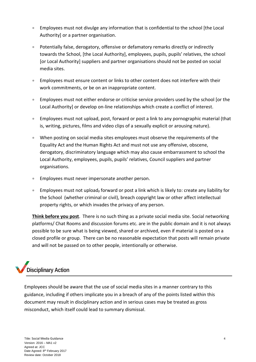- Employees must not divulge any information that is confidential to the school [the Local Authority] or a partner organisation.
- Potentially false, derogatory, offensive or defamatory remarks directly or indirectly towards the School, [the Local Authority], employees, pupils, pupils' relatives, the school [or Local Authority] suppliers and partner organisations should not be posted on social media sites.
- Employees must ensure content or links to other content does not interfere with their work commitments, or be on an inappropriate content.
- Employees must not either endorse or criticise service providers used by the school [or the Local Authority] or develop on-line relationships which create a conflict of interest.
- Employees must not upload, post, forward or post a link to any pornographic material (that is, writing, pictures, films and video clips of a sexually explicit or arousing nature).
- When posting on social media sites employees must observe the requirements of the Equality Act and the Human Rights Act and must not use any offensive, obscene, derogatory, discriminatory language which may also cause embarrassment to school the Local Authority, employees, pupils, pupils' relatives, Council suppliers and partner organisations.
- Employees must never impersonate another person.
- **Employees must not upload, forward or post a link which is likely to: create any liability for** the School (whether criminal or civil), breach copyright law or other affect intellectual property rights, or which invades the privacy of any person.

**Think before you post**. There is no such thing as a private social media site. Social networking platforms/ Chat Rooms and discussion forums etc. are in the public domain and it is not always possible to be sure what is being viewed, shared or archived, even if material is posted on a closed profile or group. There can be no reasonable expectation that posts will remain private and will not be passed on to other people, intentionally or otherwise.

# **Disciplinary Action**

Employees should be aware that the use of social media sites in a manner contrary to this guidance, including if others implicate you in a breach of any of the points listed within this document may result in disciplinary action and in serious cases may be treated as gross misconduct, which itself could lead to summary dismissal.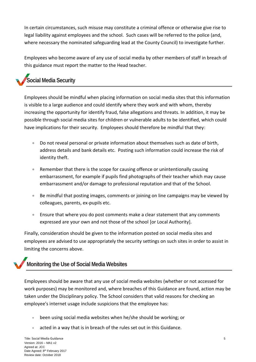In certain circumstances, such misuse may constitute a criminal offence or otherwise give rise to legal liability against employees and the school. Such cases will be referred to the police (and, where necessary the nominated safeguarding lead at the County Council) to investigate further.

Employees who become aware of any use of social media by other members of staff in breach of this guidance must report the matter to the Head teacher.

# **Social Media Security**

Employees should be mindful when placing information on social media sites that this information is visible to a large audience and could identify where they work and with whom, thereby increasing the opportunity for identify fraud, false allegations and threats. In addition, it may be possible through social media sites for children or vulnerable adults to be identified, which could have implications for their security. Employees should therefore be mindful that they:

- Do not reveal personal or private information about themselves such as date of birth, address details and bank details etc. Posting such information could increase the risk of identity theft.
- Remember that there is the scope for causing offence or unintentionally causing embarrassment, for example if pupils find photographs of their teacher which may cause embarrassment and/or damage to professional reputation and that of the School.
- Be mindful that posting images, comments or joining on line campaigns may be viewed by colleagues, parents, ex-pupils etc.
- Ensure that where you do post comments make a clear statement that any comments expressed are your own and not those of the school [or Local Authority].

Finally, consideration should be given to the information posted on social media sites and employees are advised to use appropriately the security settings on such sites in order to assist in limiting the concerns above.

### **Monitoring the Use of Social Media Websites**

Employees should be aware that any use of social media websites (whether or not accessed for work purposes) may be monitored and, where breaches of this Guidance are found, action may be taken under the Disciplinary policy. The School considers that valid reasons for checking an employee's internet usage include suspicions that the employee has:

- been using social media websites when he/she should be working; or
- acted in a way that is in breach of the rules set out in this Guidance.